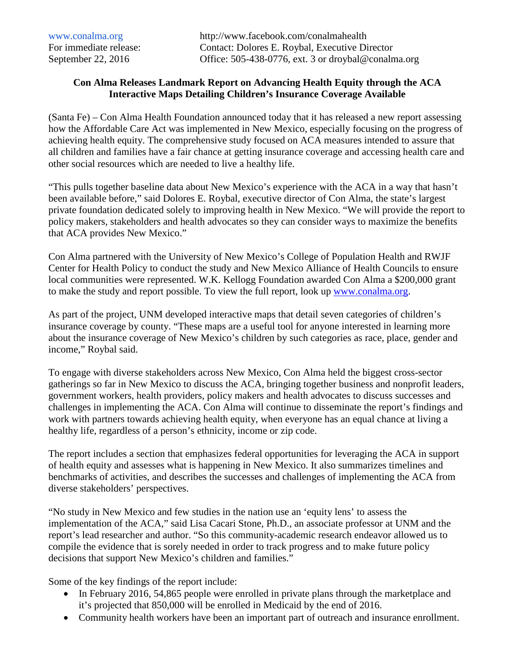## **Con Alma Releases Landmark Report on Advancing Health Equity through the ACA Interactive Maps Detailing Children's Insurance Coverage Available**

(Santa Fe) – Con Alma Health Foundation announced today that it has released a new report assessing how the Affordable Care Act was implemented in New Mexico, especially focusing on the progress of achieving health equity. The comprehensive study focused on ACA measures intended to assure that all children and families have a fair chance at getting insurance coverage and accessing health care and other social resources which are needed to live a healthy life.

"This pulls together baseline data about New Mexico's experience with the ACA in a way that hasn't been available before," said Dolores E. Roybal, executive director of Con Alma, the state's largest private foundation dedicated solely to improving health in New Mexico. "We will provide the report to policy makers, stakeholders and health advocates so they can consider ways to maximize the benefits that ACA provides New Mexico."

Con Alma partnered with the University of New Mexico's College of Population Health and RWJF Center for Health Policy to conduct the study and New Mexico Alliance of Health Councils to ensure local communities were represented. W.K. Kellogg Foundation awarded Con Alma a \$200,000 grant to make the study and report possible. To view the full report, look up [www.conalma.org.](http://www.conalma.org/)

As part of the project, UNM developed interactive maps that detail seven categories of children's insurance coverage by county. "These maps are a useful tool for anyone interested in learning more about the insurance coverage of New Mexico's children by such categories as race, place, gender and income," Roybal said.

To engage with diverse stakeholders across New Mexico, Con Alma held the biggest cross-sector gatherings so far in New Mexico to discuss the ACA, bringing together business and nonprofit leaders, government workers, health providers, policy makers and health advocates to discuss successes and challenges in implementing the ACA. Con Alma will continue to disseminate the report's findings and work with partners towards achieving health equity, when everyone has an equal chance at living a healthy life, regardless of a person's ethnicity, income or zip code.

The report includes a section that emphasizes federal opportunities for leveraging the ACA in support of health equity and assesses what is happening in New Mexico. It also summarizes timelines and benchmarks of activities, and describes the successes and challenges of implementing the ACA from diverse stakeholders' perspectives.

"No study in New Mexico and few studies in the nation use an 'equity lens' to assess the implementation of the ACA," said Lisa Cacari Stone, Ph.D., an associate professor at UNM and the report's lead researcher and author. "So this community-academic research endeavor allowed us to compile the evidence that is sorely needed in order to track progress and to make future policy decisions that support New Mexico's children and families."

Some of the key findings of the report include:

- In February 2016, 54,865 people were enrolled in private plans through the marketplace and it's projected that 850,000 will be enrolled in Medicaid by the end of 2016.
- Community health workers have been an important part of outreach and insurance enrollment.